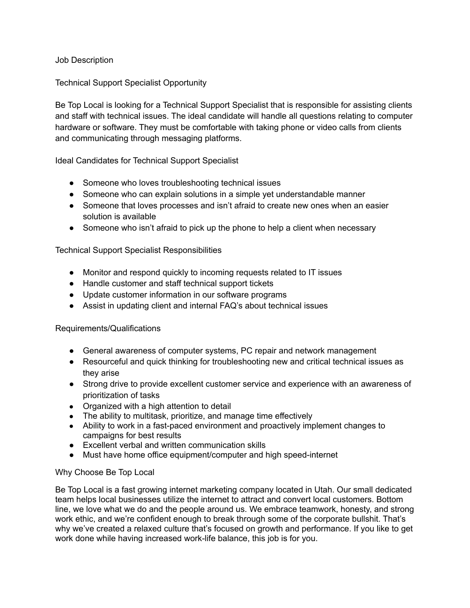Job Description

Technical Support Specialist Opportunity

Be Top Local is looking for a Technical Support Specialist that is responsible for assisting clients and staff with technical issues. The ideal candidate will handle all questions relating to computer hardware or software. They must be comfortable with taking phone or video calls from clients and communicating through messaging platforms.

Ideal Candidates for Technical Support Specialist

- Someone who loves troubleshooting technical issues
- Someone who can explain solutions in a simple yet understandable manner
- Someone that loves processes and isn't afraid to create new ones when an easier solution is available
- Someone who isn't afraid to pick up the phone to help a client when necessary

## Technical Support Specialist Responsibilities

- Monitor and respond quickly to incoming requests related to IT issues
- Handle customer and staff technical support tickets
- Update customer information in our software programs
- Assist in updating client and internal FAQ's about technical issues

## Requirements/Qualifications

- General awareness of computer systems, PC repair and network management
- Resourceful and quick thinking for troubleshooting new and critical technical issues as they arise
- Strong drive to provide excellent customer service and experience with an awareness of prioritization of tasks
- Organized with a high attention to detail
- The ability to multitask, prioritize, and manage time effectively
- Ability to work in a fast-paced environment and proactively implement changes to campaigns for best results
- Excellent verbal and written communication skills
- Must have home office equipment/computer and high speed-internet

## Why Choose Be Top Local

Be Top Local is a fast growing internet marketing company located in Utah. Our small dedicated team helps local businesses utilize the internet to attract and convert local customers. Bottom line, we love what we do and the people around us. We embrace teamwork, honesty, and strong work ethic, and we're confident enough to break through some of the corporate bullshit. That's why we've created a relaxed culture that's focused on growth and performance. If you like to get work done while having increased work-life balance, this job is for you.